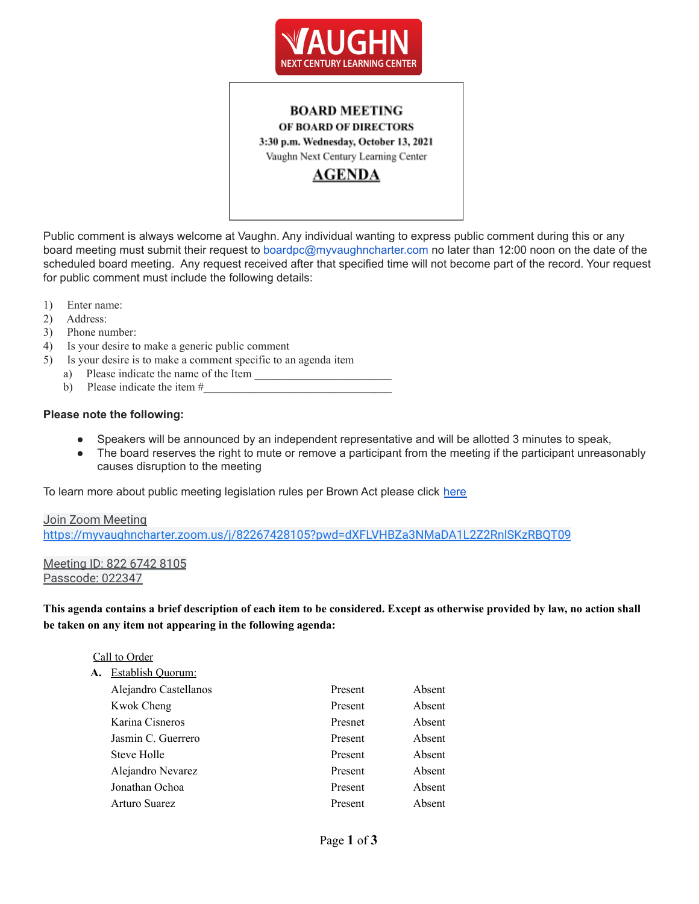

# **BOARD MEETING** OF BOARD OF DIRECTORS 3:30 p.m. Wednesday, October 13, 2021 Vaughn Next Century Learning Center **AGENDA**

Public comment is always welcome at Vaughn. Any individual wanting to express public comment during this or any board meeting must submit their request to boardpc@myvaughncharter.com no later than 12:00 noon on the date of the scheduled board meeting. Any request received after that specified time will not become part of the record. Your request for public comment must include the following details:

- 1) Enter name:
- 2) Address:
- 3) Phone number:
- 4) Is your desire to make a generic public comment
- 5) Is your desire is to make a comment specific to an agenda item
	- a) Please indicate the name of the Item
	- b) Please indicate the item  $#_2$

#### **Please note the following:**

- Speakers will be announced by an independent representative and will be allotted 3 minutes to speak,
- The board reserves the right to mute or remove a participant from the meeting if the participant unreasonably causes disruption to the meeting

To learn more about public meeting legislation rules per Brown Act please click [here](https://leginfo.legislature.ca.gov/faces/billTextClient.xhtml?bill_id=201520160AB1787)

### Join Zoom Meeting <https://myvaughncharter.zoom.us/j/82267428105?pwd=dXFLVHBZa3NMaDA1L2Z2RnlSKzRBQT09>

### Meeting ID: 822 6742 8105 Passcode: 022347

This agenda contains a brief description of each item to be considered. Except as otherwise provided by law, no action shall **be taken on any item not appearing in the following agenda:**

### Call to Order

| А. | Establish Ouorum:     |         |        |
|----|-----------------------|---------|--------|
|    | Alejandro Castellanos | Present | Absent |
|    | Kwok Cheng            | Present | Absent |
|    | Karina Cisneros       | Presnet | Absent |
|    | Jasmin C. Guerrero    | Present | Absent |
|    | Steve Holle           | Present | Absent |
|    | Alejandro Nevarez     | Present | Absent |
|    | Jonathan Ochoa        | Present | Absent |
|    | Arturo Suarez         | Present | Absent |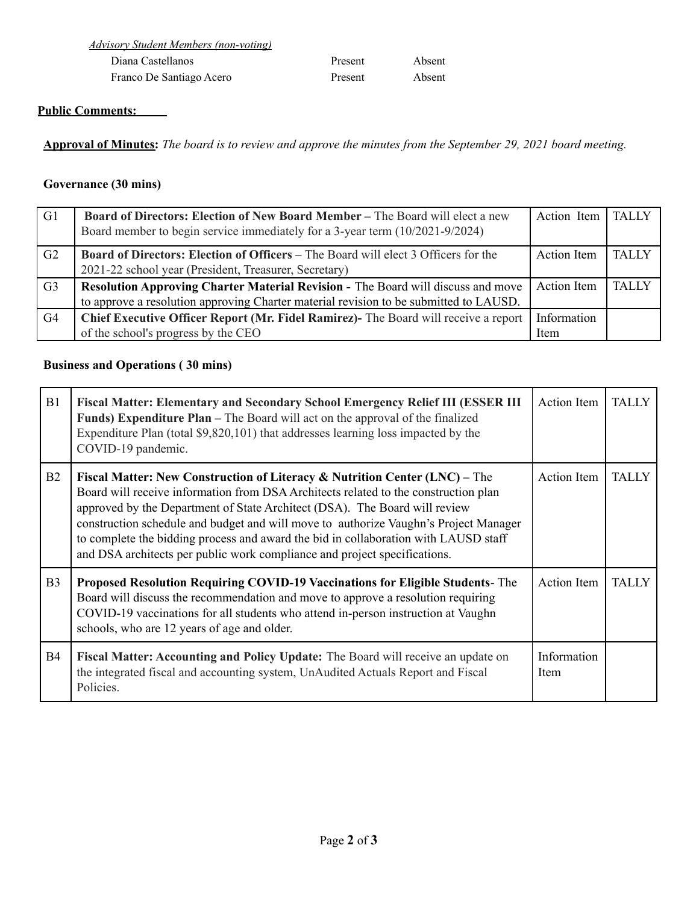| Advisory Student Members (non-voting) |         |        |  |  |
|---------------------------------------|---------|--------|--|--|
| Diana Castellanos                     | Present | Absent |  |  |
| Franco De Santiago Acero              | Present | Absent |  |  |

# **Public Comments:**

Approval of Minutes: The board is to review and approve the minutes from the September 29, 2021 board meeting.

# **Governance (30 mins)**

| G <sub>1</sub> | <b>Board of Directors: Election of New Board Member – The Board will elect a new</b><br>Board member to begin service immediately for a 3-year term (10/2021-9/2024) | Action Item        | <b>TALLY</b> |
|----------------|----------------------------------------------------------------------------------------------------------------------------------------------------------------------|--------------------|--------------|
| G <sub>2</sub> | <b>Board of Directors: Election of Officers – The Board will elect 3 Officers for the</b>                                                                            | Action Item        | <b>TALLY</b> |
|                | 2021-22 school year (President, Treasurer, Secretary)                                                                                                                |                    |              |
| G <sub>3</sub> | Resolution Approving Charter Material Revision - The Board will discuss and move                                                                                     | <b>Action</b> Item | <b>TALLY</b> |
|                | to approve a resolution approving Charter material revision to be submitted to LAUSD.                                                                                |                    |              |
| G <sub>4</sub> | Chief Executive Officer Report (Mr. Fidel Ramirez)- The Board will receive a report                                                                                  | Information        |              |
|                | of the school's progress by the CEO                                                                                                                                  | Item               |              |

# **Business and Operations ( 30 mins)**

| B1             | <b>Fiscal Matter: Elementary and Secondary School Emergency Relief III (ESSER III)</b><br><b>Funds) Expenditure Plan</b> – The Board will act on the approval of the finalized<br>Expenditure Plan (total \$9,820,101) that addresses learning loss impacted by the<br>COVID-19 pandemic.                                                                                                                                                                                                                              | Action Item                | <b>TALLY</b> |
|----------------|------------------------------------------------------------------------------------------------------------------------------------------------------------------------------------------------------------------------------------------------------------------------------------------------------------------------------------------------------------------------------------------------------------------------------------------------------------------------------------------------------------------------|----------------------------|--------------|
| B <sub>2</sub> | <b>Fiscal Matter: New Construction of Literacy &amp; Nutrition Center (LNC)</b> – The<br>Board will receive information from DSA Architects related to the construction plan<br>approved by the Department of State Architect (DSA). The Board will review<br>construction schedule and budget and will move to authorize Vaughn's Project Manager<br>to complete the bidding process and award the bid in collaboration with LAUSD staff<br>and DSA architects per public work compliance and project specifications. | <b>Action</b> Item         | <b>TALLY</b> |
| B <sub>3</sub> | Proposed Resolution Requiring COVID-19 Vaccinations for Eligible Students-The<br>Board will discuss the recommendation and move to approve a resolution requiring<br>COVID-19 vaccinations for all students who attend in-person instruction at Vaughn<br>schools, who are 12 years of age and older.                                                                                                                                                                                                                  | <b>Action Item</b>         | <b>TALLY</b> |
| <b>B4</b>      | Fiscal Matter: Accounting and Policy Update: The Board will receive an update on<br>the integrated fiscal and accounting system, UnAudited Actuals Report and Fiscal<br>Policies.                                                                                                                                                                                                                                                                                                                                      | Information<br><b>Item</b> |              |